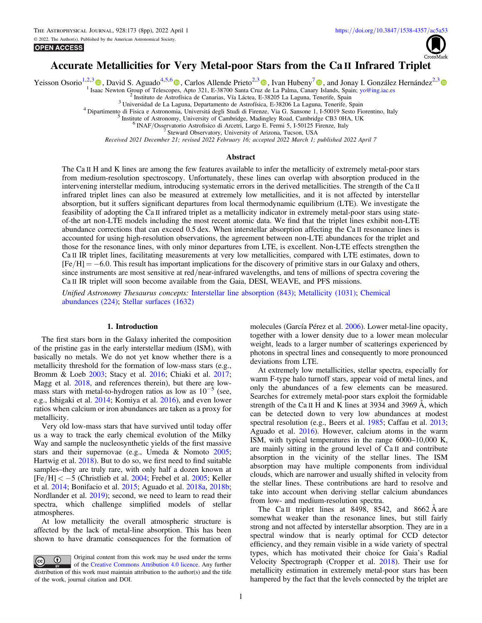© 2022. The Author(s). Published by the American Astronomical Society. **OPEN ACCESS** 



# Accurate Metallicities for Very Metal-poor Stars from the Ca II Infrared Triplet

Yeisson Osorio<sup>1,2,[3](https://orcid.org/0000-0002-0264-7356)</sup> (b)[,](https://orcid.org/0000-0001-8816-236X) David S. Aguado<sup>4,5,[6](https://orcid.org/0000-0001-5200-3973)</sup> (b), Carlos Allende Prieto<sup>2,3</sup> (b), Ivan Hubeny<sup>[7](https://orcid.org/0000-0001-8816-236X)</sup> (b), and Jonay I. González Hernández<sup>2,3</sup> (b) and Jonay I. Sonzález Hernández<sup>2,3</sup> (b)

<sup>2</sup> Instituto de Astrofísica de Canarias, Vía Láctea, E-38205 La Laguna, Tenerife, Spain<br><sup>3</sup> Universidad de La Laguna, Departamento de Astrofísica, E-38206 La Laguna, Tenerife, Spain<br><sup>4</sup> Dipartimento di Fisica e Astronomi

Received 2021 December 21; revised 2022 February 16; accepted 2022 March 1; published 2022 April 7

#### Abstract

The Ca II H and K lines are among the few features available to infer the metallicity of extremely metal-poor stars from medium-resolution spectroscopy. Unfortunately, these lines can overlap with absorption produced in the intervening interstellar medium, introducing systematic errors in the derived metallicities. The strength of the Ca II infrared triplet lines can also be measured at extremely low metallicities, and it is not affected by interstellar absorption, but it suffers significant departures from local thermodynamic equilibrium (LTE). We investigate the feasibility of adopting the Ca II infrared triplet as a metallicity indicator in extremely metal-poor stars using stateof-the art non-LTE models including the most recent atomic data. We find that the triplet lines exhibit non-LTE abundance corrections that can exceed 0.5 dex. When interstellar absorption affecting the Ca II resonance lines is accounted for using high-resolution observations, the agreement between non-LTE abundances for the triplet and those for the resonance lines, with only minor departures from LTE, is excellent. Non-LTE effects strengthen the Ca II IR triplet lines, facilitating measurements at very low metallicities, compared with LTE estimates, down to [Fe/H] = −6.0. This result has important implications for the discovery of primitive stars in our Galaxy and others, since instruments are most sensitive at red/near-infrared wavelengths, and tens of millions of spectra covering the Ca II IR triplet will soon become available from the Gaia, DESI, WEAVE, and PFS missions.

Unified Astronomy Thesaurus concepts: [Interstellar line absorption](http://astrothesaurus.org/uat/843) (843); [Metallicity](http://astrothesaurus.org/uat/1031) (1031); [Chemical](http://astrothesaurus.org/uat/224) [abundances](http://astrothesaurus.org/uat/224) (224); [Stellar surfaces](http://astrothesaurus.org/uat/1632) (1632)

#### 1. Introduction

The first stars born in the Galaxy inherited the composition of the pristine gas in the early interstellar medium (ISM), with basically no metals. We do not yet know whether there is a metallicity threshold for the formation of low-mass stars (e.g., Bromm & Loeb [2003;](#page-6-0) Stacy et al. [2016;](#page-7-0) Chiaki et al. [2017](#page-6-0); Magg et al. [2018](#page-7-0), and references therein), but there are lowmass stars with metal-to-hydrogen ratios as low as  $10^{-5}$  (see, e.g., Ishigaki et al. [2014](#page-7-0); Komiya et al. [2016](#page-7-0)), and even lower ratios when calcium or iron abundances are taken as a proxy for metallicity.

Very old low-mass stars that have survived until today offer us a way to track the early chemical evolution of the Milky Way and sample the nucleosynthetic yields of the first massive stars and their supernovae (e.g., Umeda & Nomoto [2005](#page-7-0); Hartwig et al. [2018](#page-7-0)). But to do so, we first need to find suitable samples–they are truly rare, with only half a dozen known at [Fe/H] < −5 (Christlieb et al. [2004;](#page-7-0) Frebel et al. [2005;](#page-7-0) Keller et al. [2014](#page-7-0); Bonifacio et al. [2015;](#page-6-0) Aguado et al. [2018a](#page-6-0), [2018b](#page-6-0); Nordlander et al. [2019](#page-7-0)); second, we need to learn to read their spectra, which challenge simplified models of stellar atmospheres.

At low metallicity the overall atmospheric structure is affected by the lack of metal-line absorption. This has been shown to have dramatic consequences for the formation of molecules (García Pérez et al. [2006](#page-7-0)). Lower metal-line opacity, together with a lower density due to a lower mean molecular weight, leads to a larger number of scatterings experienced by photons in spectral lines and consequently to more pronounced deviations from LTE.

At extremely low metallicities, stellar spectra, especially for warm F-type halo turnoff stars, appear void of metal lines, and only the abundances of a few elements can be measured. Searches for extremely metal-poor stars exploit the formidable strength of the Ca II H and K lines at 3934 and 3969 Å, which can be detected down to very low abundances at modest spectral resolution (e.g., Beers et al. [1985;](#page-6-0) Caffau et al. [2013](#page-6-0); Aguado et al. [2016](#page-6-0)). However, calcium atoms in the warm ISM, with typical temperatures in the range 6000–10,000 K, are mainly sitting in the ground level of Ca II and contribute absorption in the vicinity of the stellar lines. The ISM absorption may have multiple components from individual clouds, which are narrower and usually shifted in velocity from the stellar lines. These contributions are hard to resolve and take into account when deriving stellar calcium abundances from low- and medium-resolution spectra.

The Ca II triplet lines at 8498, 8542, and 8662 Å are somewhat weaker than the resonance lines, but still fairly strong and not affected by interstellar absorption. They are in a spectral window that is nearly optimal for CCD detector efficiency, and they remain visible in a wide variety of spectral types, which has motivated their choice for Gaia's Radial Velocity Spectrograph (Cropper et al. [2018](#page-7-0)). Their use for metallicity estimation in extremely metal-poor stars has been hampered by the fact that the levels connected by the triplet are

Original content from this work may be used under the terms  $\bf{r}$  $\left(\mathrm{cc}\right)$ of the [Creative Commons Attribution 4.0 licence.](http://creativecommons.org/licenses/by/4.0/) Any further distribution of this work must maintain attribution to the author(s) and the title of the work, journal citation and DOI.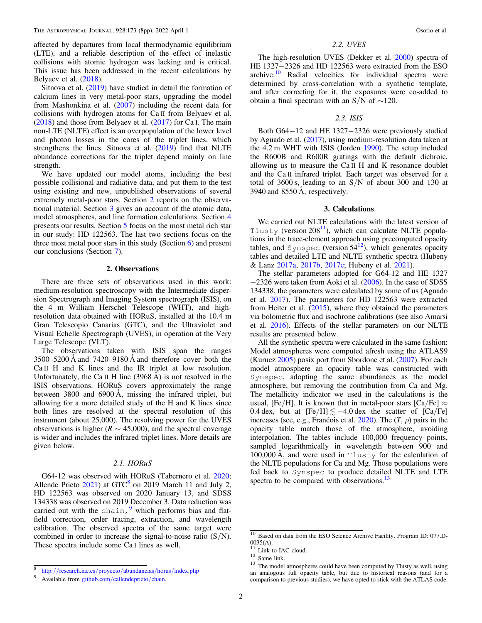affected by departures from local thermodynamic equilibrium (LTE), and a reliable description of the effect of inelastic collisions with atomic hydrogen was lacking and is critical. This issue has been addressed in the recent calculations by Belyaev et al. ([2018](#page-6-0)).

Sitnova et al. ([2019](#page-7-0)) have studied in detail the formation of calcium lines in very metal-poor stars, upgrading the model from Mashonkina et al. ([2007](#page-7-0)) including the recent data for collisions with hydrogen atoms for Ca II from Belyaev et al. ([2018](#page-6-0)) and those from Belyaev et al. ([2017](#page-6-0)) for Ca I. The main non-LTE (NLTE) effect is an overpopulation of the lower level and photon losses in the cores of the triplet lines, which strengthens the lines. Sitnova et al. ([2019](#page-7-0)) find that NLTE abundance corrections for the triplet depend mainly on line strength.

We have updated our model atoms, including the best possible collisional and radiative data, and put them to the test using existing and new, unpublished observations of several extremely metal-poor stars. Section 2 reports on the observational material. Section 3 gives an account of the atomic data, model atmospheres, and line formation calculations. Section [4](#page-2-0) presents our results. Section [5](#page-2-0) focus on the most metal rich star in our study: HD 122563. The last two sections focus on the three most metal poor stars in this study (Section [6](#page-3-0)) and present our conclusions (Section [7](#page-6-0)).

#### 2. Observations

There are three sets of observations used in this work: medium-resolution spectroscopy with the Intermediate dispersion Spectrograph and Imaging System spectrograph (ISIS), on the 4 m William Herschel Telescope (WHT), and highresolution data obtained with HORuS, installed at the 10.4 m Gran Telescopio Canarias (GTC), and the Ultraviolet and Visual Echelle Spectrograph (UVES), in operation at the Very Large Telescope (VLT).

The observations taken with ISIS span the ranges 3500–5200 Å and 7420–9180 Å and therefore cover both the Ca II H and K lines and the IR triplet at low resolution. Unfortunately, the Ca II H line  $(3968 \text{ Å})$  is not resolved in the ISIS observations. HORuS covers approximately the range between 3800 and 6900 Å, missing the infrared triplet, but allowing for a more detailed study of the H and K lines since both lines are resolved at the spectral resolution of this instrument (about 25,000). The resolving power for the UVES observations is higher ( $R \sim 45,000$ ), and the spectral coverage is wider and includes the infrared triplet lines. More details are given below.

### 2.1. HORuS

G64-12 was observed with HORuS (Tabernero et al. [2020](#page-7-0); Allende Prieto  $2021$ ) at GTC<sup>8</sup> on 2019 March 11 and July 2, HD 122563 was observed on 2020 January 13, and SDSS 134338 was observed on 2019 December 3. Data reduction was carried out with the chain,  $9$  which performs bias and flatfield correction, order tracing, extraction, and wavelength calibration. The observed spectra of the same target were combined in order to increase the signal-to-noise ratio  $(S/N)$ . These spectra include some Ca I lines as well.

### 2.2. UVES

The high-resolution UVES (Dekker et al. [2000](#page-7-0)) spectra of HE 1327−2326 and HD 122563 were extracted from the ESO archive.<sup>10</sup> Radial velocities for individual spectra were determined by cross-correlation with a synthetic template, and after correcting for it, the exposures were co-added to obtain a final spectrum with an S/N of  $\sim$ 120.

#### 2.3. ISIS

Both G64−12 and HE 1327−2326 were previously studied by Aguado et al. ([2017](#page-6-0)), using medium-resolution data taken at the 4.2 m WHT with ISIS (Jorden [1990](#page-7-0)). The setup included the R600B and R600R gratings with the default dichroic, allowing us to measure the Ca II H and K resonance doublet and the Ca II infrared triplet. Each target was observed for a total of  $3600 \text{ s}$ , leading to an  $S/N$  of about 300 and 130 at 3940 and 8550 Å, respectively.

#### 3. Calculations

We carried out NLTE calculations with the latest version of Tlusty (version  $208<sup>11</sup>$ ), which can calculate NLTE populations in the trace-element approach using precomputed opacity tables, and Synspec (version  $54^{12}$ ), which generates opacity tables and detailed LTE and NLTE synthetic spectra (Hubeny & Lanz [2017a](#page-7-0), [2017b,](#page-7-0) [2017c](#page-7-0); Hubeny et al. [2021](#page-7-0)).

The stellar parameters adopted for G64-12 and HE 1327 −2326 were taken from Aoki et al. ([2006](#page-6-0)). In the case of SDSS 134338, the parameters were calculated by some of us (Aguado et al. [2017](#page-6-0)). The parameters for HD 122563 were extracted from Heiter et al.  $(2015)$  $(2015)$  $(2015)$ , where they obtained the parameters via bolometric flux and isochrone calibrations (see also Amarsi et al. [2016](#page-6-0)). Effects of the stellar parameters on our NLTE results are presented below.

All the synthetic spectra were calculated in the same fashion: Model atmospheres were computed afresh using the ATLAS9 (Kurucz [2005](#page-7-0)) posix port from Sbordone et al. ([2007](#page-7-0)). For each model atmosphere an opacity table was constructed with Synspec, adopting the same abundances as the model atmosphere, but removing the contribution from Ca and Mg. The metallicity indicator we used in the calculations is the usual, [Fe/H]. It is known that in metal-poor stars [Ca/Fe]  $\approx$ 0.4 dex, but at  $[Fe/H] \lesssim -4.0$  dex the scatter of  $[Ca/Fe]$ increases (see, e.g., Francois et al. [2020](#page-7-0)). The  $(T, \rho)$  pairs in the opacity table match those of the atmosphere, avoiding interpolation. The tables include 100,000 frequency points, sampled logarithmically in wavelength between 900 and 100,000 Å, and were used in Tlusty for the calculation of the NLTE populations for Ca and Mg. Those populations were fed back to Synspec to produce detailed NLTE and LTE spectra to be compared with observations.<sup>13</sup>

<sup>8</sup> http://[research.iac.es](http://research.iac.es/proyecto/abundancias/horus/index.php)/proyecto/abundancias/horus/index.php <sup>9</sup> Available from github.com/[callendeprieto](http://github.com/callendeprieto/chain)/chain.

 $\frac{10}{10}$  Based on data from the ESO Science Archive Facility. Program ID: 077.D-0035(A).

<sup>&</sup>lt;sup>11</sup> Link to IAC cloud.  $12$  Same link.  $13$  The model atmospheres could have been computed by Tlusty as well, using an analogous full opacity table, but due to historical reasons (and for a comparison to previous studies), we have opted to stick with the ATLAS code.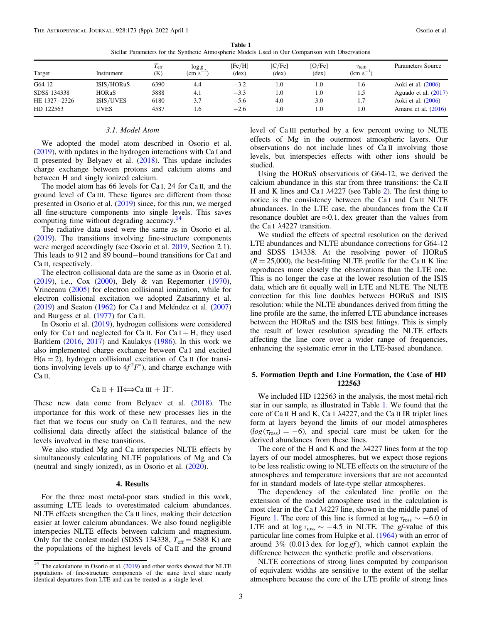<span id="page-2-0"></span>

|              |              | $T_{\rm eff}$ | $\log g$          | [Fe/H] | [C/Fe] | [O/Fe] | $v_{\text{turb}}$ | Parameters Source      |
|--------------|--------------|---------------|-------------------|--------|--------|--------|-------------------|------------------------|
| Target       | Instrument   | (K)           | $\rm \sim s^{-1}$ | (dex)  | (dex)  | (dex)  | $(km s^{-1})$     |                        |
| G64-12       | ISIS/HORuS   | 6390          | 4.4               | $-3.2$ | 1.0    | 1.0    | 1.6               | Aoki et al. (2006)     |
| SDSS 134338  | <b>HORuS</b> | 5888          | 4.1               | $-3.3$ | 1.0    | 1.0    | 1.5               | Aguado et al. $(2017)$ |
| HE 1327-2326 | ISIS/UVES    | 6180          | 3.7               | $-5.6$ | 4.0    | 3.0    | 1.7               | Aoki et al. (2006)     |
| HD 122563    | <b>UVES</b>  | 4587          | 1.6               | $-2.6$ | 1.0    | 1.0    | 1.0               | Amarsi et al. (2016)   |

Table 1 Stellar Parameters for the Synthetic Atmospheric Models Used in Our Comparison with Observations

#### 3.1. Model Atom

We adopted the model atom described in Osorio et al. ([2019](#page-7-0)), with updates in the hydrogen interactions with Ca I and II presented by Belyaev et al. ([2018](#page-6-0)). This update includes charge exchange between protons and calcium atoms and between H and singly ionized calcium.

The model atom has 66 levels for Ca I, 24 for Ca II, and the ground level of Ca III. These figures are different from those presented in Osorio et al. ([2019](#page-7-0)) since, for this run, we merged all fine-structure components into single levels. This saves computing time without degrading accuracy.<sup>14</sup>

The radiative data used were the same as in Osorio et al. ([2019](#page-7-0)). The transitions involving fine-structure components were merged accordingly (see Osorio et al. [2019,](#page-7-0) Section 2.1). This leads to 912 and 89 bound−bound transitions for Ca I and Ca II, respectively.

The electron collisional data are the same as in Osorio et al. ([2019](#page-7-0)), i.e., Cox ([2000](#page-7-0)), Bely & van Regemorter ([1970](#page-6-0)), Vrinceanu ([2005](#page-7-0)) for electron collisional ionization, while for electron collisional excitation we adopted Zatsarinny et al. ([2019](#page-7-0)) and Seaton ([1962](#page-7-0)) for Ca I and Meléndez et al. ([2007](#page-7-0)) and Burgess et al. ([1977](#page-6-0)) for Ca II.

In Osorio et al. ([2019](#page-7-0)), hydrogen collisions were considered only for Ca I and neglected for Ca II. For Ca I + H, they used Barklem ([2016,](#page-6-0) [2017](#page-6-0)) and Kaulakys ([1986](#page-7-0)). In this work we also implemented charge exchange between Ca I and excited  $H(n = 2)$ , hydrogen collisional excitation of Ca II (for transitions involving levels up to  $4f^2F^*$ , and charge exchange with Ca II,

### $Ca II + H \Longleftrightarrow Ca III + H^{-}$ .

These new data come from Belyaev et al. ([2018](#page-6-0)). The importance for this work of these new processes lies in the fact that we focus our study on Ca II features, and the new collisional data directly affect the statistical balance of the levels involved in these transitions.

We also studied Mg and Ca interspecies NLTE effects by simultaneously calculating NLTE populations of Mg and Ca (neutral and singly ionized), as in Osorio et al. ([2020](#page-7-0)).

### 4. Results

For the three most metal-poor stars studied in this work, assuming LTE leads to overestimated calcium abundances. NLTE effects strengthen the Ca II lines, making their detection easier at lower calcium abundances. We also found negligible interspecies NLTE effects between calcium and magnesium. Only for the coolest model (SDSS 134338,  $T_{\text{eff}} = 5888 \text{ K}$ ) are the populations of the highest levels of Ca II and the ground level of Ca III perturbed by a few percent owing to NLTE effects of Mg in the outermost atmospheric layers. Our observations do not include lines of Ca II involving those levels, but interspecies effects with other ions should be studied.

Using the HORuS observations of G64-12, we derived the calcium abundance in this star from three transitions: the Ca II H and K lines and Ca I  $\lambda$ 4[2](#page-4-0)27 (see Table 2). The first thing to notice is the consistency between the Ca I and Ca II NLTE abundances. In the LTE case, the abundances from the Ca II resonance doublet are  $\approx 0.1$  dex greater than the values from the Ca I  $\lambda$ 4227 transition.

We studied the effects of spectral resolution on the derived LTE abundances and NLTE abundance corrections for G64-12 and SDSS 134338. At the resolving power of HORuS  $(R = 25,000)$ , the best-fitting NLTE profile for the Ca II K line reproduces more closely the observations than the LTE one. This is no longer the case at the lower resolution of the ISIS data, which are fit equally well in LTE and NLTE. The NLTE correction for this line doubles between HORuS and ISIS resolution: while the NLTE abundances derived from fitting the line profile are the same, the inferred LTE abundance increases between the HORuS and the ISIS best fittings. This is simply the result of lower resolution spreading the NLTE effects affecting the line core over a wider range of frequencies, enhancing the systematic error in the LTE-based abundance.

### 5. Formation Depth and Line Formation, the Case of HD 122563

We included HD 122563 in the analysis, the most metal-rich star in our sample, as illustrated in Table 1. We found that the core of Ca II H and K, Ca I λ4227, and the Ca II IR triplet lines form at layers beyond the limits of our model atmospheres  $(log(\tau_{\text{ross}}) = -6)$ , and special care must be taken for the derived abundances from these lines.

The core of the H and K and the  $\lambda$ 4227 lines form at the top layers of our model atmospheres, but we expect those regions to be less realistic owing to NLTE effects on the structure of the atmospheres and temperature inversions that are not accounted for in standard models of late-type stellar atmospheres.

The dependency of the calculated line profile on the extension of the model atmosphere used in the calculation is most clear in the Ca I λ4227 line, shown in the middle panel of Figure [1.](#page-3-0) The core of this line is formed at  $\log \tau_{\text{ross}} \sim -6.0$  in LTE and at  $\log \tau_{\text{ross}} \sim -4.5$  in NLTE. The gf-value of this particular line comes from Hulpke et al. ([1964](#page-7-0)) with an error of around 3% (0.013 dex for log *gf* ), which cannot explain the difference between the synthetic profile and observations.

NLTE corrections of strong lines computed by comparison of equivalent widths are sensitive to the extent of the stellar atmosphere because the core of the LTE profile of strong lines

 $14$  The calculations in Osorio et al. ([2019](#page-7-0)) and other works showed that NLTE populations of fine-structure components of the same level share nearly identical departures from LTE and can be treated as a single level.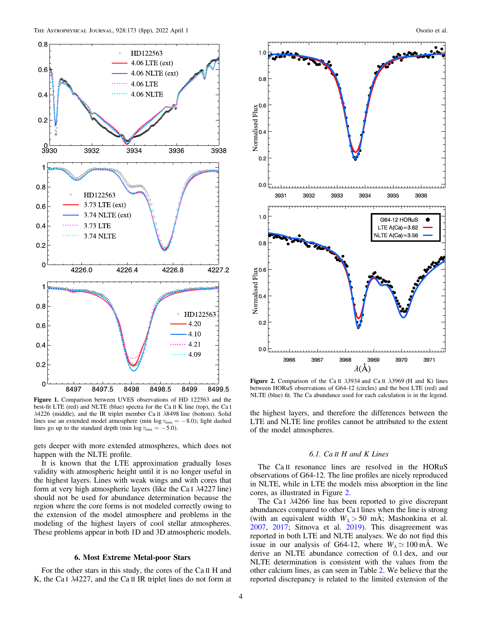<span id="page-3-0"></span>

Figure 1. Comparison between UVES observations of HD 122563 and the best-fit LTE (red) and NLTE (blue) spectra for the Ca II K line (top), the Ca <sup>I</sup> λ4226 (middle), and the IR triplet member Ca II λ8498 line (bottom). Solid lines use an extended model atmosphere (min  $\log \tau_{\text{ross}} = -8.0$ ); light dashed lines go up to the standard depth (min  $\log \tau_{\text{ross}} = -5.0$ ).

gets deeper with more extended atmospheres, which does not happen with the NLTE profile.

It is known that the LTE approximation gradually loses validity with atmospheric height until it is no longer useful in the highest layers. Lines with weak wings and with cores that form at very high atmospheric layers (like the Ca I  $\lambda$ 4227 line) should not be used for abundance determination because the region where the core forms is not modeled correctly owing to the extension of the model atmosphere and problems in the modeling of the highest layers of cool stellar atmospheres. These problems appear in both 1D and 3D atmospheric models.

### 6. Most Extreme Metal-poor Stars

For the other stars in this study, the cores of the Ca II H and K, the Ca I λ4227, and the Ca II IR triplet lines do not form at



Figure 2. Comparison of the Ca II  $\lambda$ 3934 and Ca II  $\lambda$ 3969 (H and K) lines between HORuS observations of G64-12 (circles) and the best LTE (red) and NLTE (blue) fit. The Ca abundance used for each calculation is in the legend.

the highest layers, and therefore the differences between the LTE and NLTE line profiles cannot be attributed to the extent of the model atmospheres.

### 6.1. Ca II H and K Lines

The Ca II resonance lines are resolved in the HORuS observations of G64-12. The line profiles are nicely reproduced in NLTE, while in LTE the models miss absorption in the line cores, as illustrated in Figure 2.

The Ca I λ4266 line has been reported to give discrepant abundances compared to other Ca I lines when the line is strong (with an equivalent width  $W_{\lambda} > 50$  mÅ; Mashonkina et al. [2007,](#page-7-0) [2017](#page-7-0); Sitnova et al. [2019](#page-7-0)). This disagreement was reported in both LTE and NLTE analyses. We do not find this issue in our analysis of G64-12, where  $W_{\lambda} \simeq 100 \text{ mA}$ . We derive an NLTE abundance correction of 0.1 dex, and our NLTE determination is consistent with the values from the other calcium lines, as can seen in Table [2.](#page-4-0) We believe that the reported discrepancy is related to the limited extension of the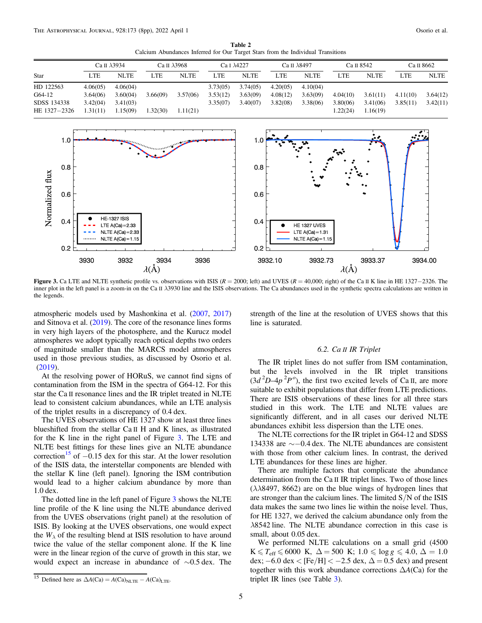Table 2 Calcium Abundances Inferred for Our Target Stars from the Individual Transitions

<span id="page-4-0"></span>

|                                                    |                                              | Ca II $\lambda$ 3934                         |                      | Ca II $\lambda$ 3968 |                                  | Ca I $\lambda$ 4227              |                                  | Ca II $\lambda$ 8497             |                                  | Са п 8542                        |                      | Са II 8662           |
|----------------------------------------------------|----------------------------------------------|----------------------------------------------|----------------------|----------------------|----------------------------------|----------------------------------|----------------------------------|----------------------------------|----------------------------------|----------------------------------|----------------------|----------------------|
| Star                                               | LTE                                          | <b>NLTE</b>                                  | LTE                  | <b>NLTE</b>          | LTE                              | <b>NLTE</b>                      | <b>LTE</b>                       | <b>NLTE</b>                      | <b>LTE</b>                       | <b>NLTE</b>                      | LTE                  | <b>NLTE</b>          |
| HD 122563<br>G64-12<br>SDSS 134338<br>HE 1327-2326 | 4.06(05)<br>3.64(06)<br>3.42(04)<br>1.31(11) | 4.06(04)<br>3.60(04)<br>3.41(03)<br>1.15(09) | 3.66(09)<br>1.32(30) | 3.57(06)<br>1.11(21) | 3.73(05)<br>3.53(12)<br>3.35(07) | 3.74(05)<br>3.63(09)<br>3.40(07) | 4.20(05)<br>4.08(12)<br>3.82(08) | 4.10(04)<br>3.63(09)<br>3.38(06) | 4.04(10)<br>3.80(06)<br>1.22(24) | 3.61(11)<br>3.41(06)<br>1.16(19) | 4.11(10)<br>3.85(11) | 3.64(12)<br>3.42(11) |



Figure 3. Ca LTE and NLTE synthetic profile vs. observations with ISIS ( $R = 2000$ ; left) and UVES ( $R = 40,000$ ; right) of the Ca II K line in HE 1327–2326. The inner plot in the left panel is a zoom-in on the Ca II λ3930 line and the ISIS observations. The Ca abundances used in the synthetic spectra calculations are written in the legends.

atmospheric models used by Mashonkina et al. ([2007](#page-7-0), [2017](#page-7-0)) and Sitnova et al. ([2019](#page-7-0)). The core of the resonance lines forms in very high layers of the photosphere, and the Kurucz model atmospheres we adopt typically reach optical depths two orders of magnitude smaller than the MARCS model atmospheres used in those previous studies, as discussed by Osorio et al. ([2019](#page-7-0)).

At the resolving power of HORuS, we cannot find signs of contamination from the ISM in the spectra of G64-12. For this star the Ca II resonance lines and the IR triplet treated in NLTE lead to consistent calcium abundances, while an LTE analysis of the triplet results in a discrepancy of 0.4 dex.

The UVES observations of HE 1327 show at least three lines blueshifted from the stellar Ca II H and K lines, as illustrated for the K line in the right panel of Figure 3. The LTE and NLTE best fittings for these lines give an NLTE abundance correction<sup>15</sup> of  $-0.15$  dex for this star. At the lower resolution of the ISIS data, the interstellar components are blended with the stellar K line (left panel). Ignoring the ISM contribution would lead to a higher calcium abundance by more than 1.0 dex.

The dotted line in the left panel of Figure 3 shows the NLTE line profile of the K line using the NLTE abundance derived from the UVES observations (right panel) at the resolution of ISIS. By looking at the UVES observations, one would expect the  $W_{\lambda}$  of the resulting blend at ISIS resolution to have around twice the value of the stellar component alone. If the K line were in the linear region of the curve of growth in this star, we would expect an increase in abundance of ∼0.5 dex. The strength of the line at the resolution of UVES shows that this line is saturated.

## 6.2. Ca II IR Triplet

The IR triplet lines do not suffer from ISM contamination, but the levels involved in the IR triplet transitions  $(3d^2D-4p^2P^o)$ , the first two excited levels of Ca II, are more suitable to exhibit populations that differ from LTE predictions. There are ISIS observations of these lines for all three stars studied in this work. The LTE and NLTE values are significantly different, and in all cases our derived NLTE abundances exhibit less dispersion than the LTE ones.

The NLTE corrections for the IR triplet in G64-12 and SDSS 134338 are ∼−0.4 dex. The NLTE abundances are consistent with those from other calcium lines. In contrast, the derived LTE abundances for these lines are higher.

There are multiple factors that complicate the abundance determination from the Ca II IR triplet lines. Two of those lines ( $\lambda$  $\lambda$ 8497, 8662) are on the blue wings of hydrogen lines that are stronger than the calcium lines. The limited  $S/N$  of the ISIS data makes the same two lines lie within the noise level. Thus, for HE 1327, we derived the calcium abundance only from the λ8542 line. The NLTE abundance correction in this case is small, about 0.05 dex.

We performed NLTE calculations on a small grid (4500  $K \leq T_{\text{eff}} \leq 6000 \text{ K}, \ \Delta = 500 \text{ K}; \ 1.0 \leq \log g \leq 4.0, \ \Delta = 1.0$ dex;  $-6.0$  dex < [Fe/H] <  $-2.5$  dex,  $\Delta = 0.5$  dex) and present together with this work abundance corrections  $\Delta A(Ca)$  for the triplet IR lines (see Table [3](#page-5-0)).

 $\frac{15}{15}$  Defined here as  $\Delta A(Ca) = A(Ca)_{NLTE} - A(Ca)_{LTE}$ .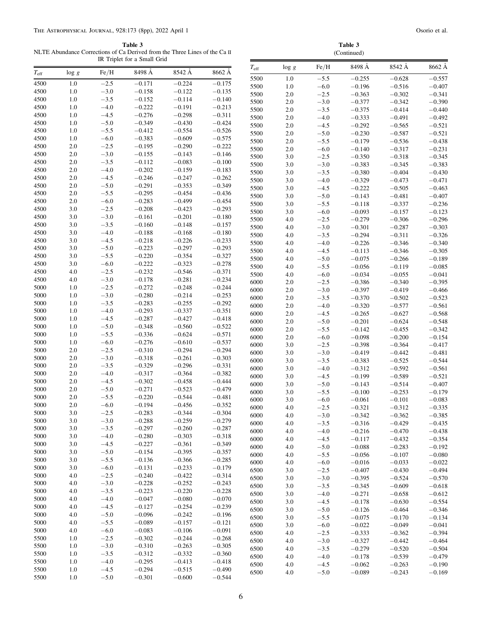<span id="page-5-0"></span>Table 3 NLTE Abundance Co

 $5500$  1.0  $-5.0$   $-0.301$   $-0.600$   $-0.544$ 

| Table 3<br>NLTE Abundance Corrections of Ca Derived from the Three Lines of the Ca II<br>IR Triplet for a Small Grid |            |                  |                      |                      |                      | Table 3<br>(Continued) |            |                  |                      |                      |                      |  |
|----------------------------------------------------------------------------------------------------------------------|------------|------------------|----------------------|----------------------|----------------------|------------------------|------------|------------------|----------------------|----------------------|----------------------|--|
|                                                                                                                      |            | Fe/H             | 8498 Å               | 8542 Å               | 8662 A               | $T_{\rm eff}$          | $\log g$   | Fe/H             | 8498 Å               | 8542 Å               | 8662 Å               |  |
| $T_{\rm eff}$                                                                                                        | $\log g$   |                  |                      |                      |                      | 5500                   | 1.0        | $-5.5$           | $-0.255$             | $-0.628$             | $-0.557$             |  |
| 4500                                                                                                                 | 1.0        | $-2.5$           | $-0.171$             | $-0.224$             | $-0.175$             | 5500                   | 1.0        | $-6.0$           | $-0.196$             | $-0.516$             | $-0.407$             |  |
| 4500                                                                                                                 | 1.0        | $-3.0$           | $-0.158$             | $-0.122$             | $-0.135$             | 5500                   | 2.0        | $-2.5$           | $-0.363$             | $-0.302$             | $-0.341$             |  |
| 4500                                                                                                                 | 1.0        | $-3.5$           | $-0.152$             | $-0.114$             | $-0.140$             | 5500                   | 2.0        | $-3.0$           | $-0.377$             | $-0.342$             | $-0.390$             |  |
| 4500<br>4500                                                                                                         | 1.0<br>1.0 | $-4.0$<br>$-4.5$ | $-0.222$<br>$-0.276$ | $-0.191$<br>$-0.298$ | $-0.213$<br>$-0.311$ | 5500                   | 2.0        | $-3.5$           | $-0.375$             | $-0.414$             | $-0.440$             |  |
| 4500                                                                                                                 | 1.0        | $-5.0$           | $-0.349$             | $-0.430$             | $-0.424$             | 5500                   | 2.0        | $-4.0$           | $-0.333$             | $-0.491$             | $-0.492$             |  |
| 4500                                                                                                                 | 1.0        | $-5.5$           | $-0.412$             | $-0.554$             | $-0.526$             | 5500                   | 2.0        | $-4.5$           | $-0.292$             | $-0.565$             | $-0.521$             |  |
| 4500                                                                                                                 | 1.0        | $-6.0$           | $-0.383$             | $-0.609$             | $-0.575$             | 5500                   | 2.0        | $-5.0$           | $-0.230$             | $-0.587$             | $-0.521$             |  |
| 4500                                                                                                                 | 2.0        | $-2.5$           | $-0.195$             | $-0.290$             | $-0.222$             | 5500<br>5500           | 2.0<br>2.0 | $-5.5$<br>$-6.0$ | $-0.179$             | $-0.536$<br>$-0.317$ | $-0.438$<br>$-0.231$ |  |
| 4500                                                                                                                 | 2.0        | $-3.0$           | $-0.155$             | $-0.143$             | $-0.146$             | 5500                   | 3.0        | $-2.5$           | $-0.140$<br>$-0.350$ | $-0.318$             | $-0.345$             |  |
| 4500                                                                                                                 | 2.0        | $-3.5$           | $-0.112$             | $-0.083$             | $-0.100$             | 5500                   | 3.0        | $-3.0$           | $-0.383$             | $-0.345$             | $-0.383$             |  |
| 4500                                                                                                                 | 2.0        | $-4.0$           | $-0.202$             | $-0.159$             | $-0.183$             | 5500                   | 3.0        | $-3.5$           | $-0.380$             | $-0.404$             | $-0.430$             |  |
| 4500                                                                                                                 | 2.0        | $-4.5$           | $-0.246$             | $-0.247$             | $-0.262$             | 5500                   | 3.0        | $-4.0$           | $-0.329$             | $-0.473$             | $-0.471$             |  |
| 4500                                                                                                                 | 2.0        | $-5.0$           | $-0.291$             | $-0.353$             | $-0.349$             | 5500                   | 3.0        | $-4.5$           | $-0.222$             | $-0.505$             | $-0.463$             |  |
| 4500                                                                                                                 | 2.0        | $-5.5$           | $-0.295$             | $-0.454$             | $-0.436$             | 5500                   | 3.0        | $-5.0$           | $-0.143$             | $-0.481$             | $-0.407$             |  |
| 4500                                                                                                                 | 2.0        | $-6.0$           | $-0.283$             | $-0.499$             | $-0.454$             | 5500                   | 3.0        | $-5.5$           | $-0.118$             | $-0.337$             | $-0.236$             |  |
| 4500                                                                                                                 | 3.0        | $-2.5$           | $-0.208$             | $-0.423$             | $-0.293$             | 5500                   | 3.0        | $-6.0$           | $-0.093$             | $-0.157$             | $-0.123$             |  |
| 4500                                                                                                                 | 3.0        | $-3.0$           | $-0.161$             | $-0.201$             | $-0.180$             | 5500                   | 4.0        | $-2.5$           | $-0.279$             | $-0.306$             | $-0.296$             |  |
| 4500                                                                                                                 | 3.0        | $-3.5$           | $-0.160$             | $-0.148$             | $-0.157$             | 5500                   | 4.0        | $-3.0$           | $-0.301$             | $-0.287$             | $-0.303$             |  |
| 4500                                                                                                                 | 3.0        | $-4.0$           | $-0.188$             | $-0.168$             | $-0.180$             | 5500                   | 4.0        | $-3.5$           | $-0.294$             | $-0.311$             | $-0.326$             |  |
| 4500                                                                                                                 | 3.0        | $-4.5$           | $-0.218$             | $-0.226$             | $-0.233$             | 5500                   | 4.0        | $-4.0$           | $-0.226$             | $-0.346$             | $-0.340$             |  |
| 4500                                                                                                                 | 3.0        | $-5.0$           | $-0.223$             | $-0.297$<br>$-0.354$ | $-0.293$<br>$-0.327$ | 5500                   | 4.0        | $-4.5$           | $-0.113$             | $-0.346$             | $-0.305$             |  |
| 4500                                                                                                                 | 3.0        | $-5.5$           | $-0.220$<br>$-0.222$ | $-0.323$             | $-0.278$             | 5500                   | 4.0        | $-5.0$           | $-0.075$             | $-0.266$             | $-0.189$             |  |
| 4500<br>4500                                                                                                         | 3.0<br>4.0 | $-6.0$<br>$-2.5$ | $-0.232$             | $-0.546$             | $-0.371$             | 5500                   | 4.0        | $-5.5$           | $-0.056$             | $-0.119$             | $-0.085$             |  |
| 4500                                                                                                                 | 4.0        | $-3.0$           | $-0.178$             | $-0.281$             | $-0.234$             | 5500                   | 4.0        | $-6.0$           | $-0.034$             | $-0.055$             | $-0.041$             |  |
| 5000                                                                                                                 | 1.0        | $-2.5$           | $-0.272$             | $-0.248$             | $-0.244$             | 6000                   | 2.0        | $-2.5$           | $-0.386$             | $-0.340$             | $-0.395$             |  |
| 5000                                                                                                                 | 1.0        | $-3.0$           | $-0.280$             | $-0.214$             | $-0.253$             | 6000                   | 2.0        | $-3.0$           | $-0.397$             | $-0.419$             | $-0.466$             |  |
| 5000                                                                                                                 | 1.0        | $-3.5$           | $-0.283$             | $-0.255$             | $-0.292$             | 6000                   | 2.0        | $-3.5$           | $-0.370$             | $-0.502$             | $-0.523$             |  |
| 5000                                                                                                                 | 1.0        | $-4.0$           | $-0.293$             | $-0.337$             | $-0.351$             | 6000                   | 2.0        | $-4.0$           | $-0.320$             | $-0.577$             | $-0.561$             |  |
| 5000                                                                                                                 | 1.0        | $-4.5$           | $-0.287$             | $-0.427$             | $-0.418$             | 6000<br>6000           | 2.0<br>2.0 | $-4.5$<br>$-5.0$ | $-0.265$<br>$-0.201$ | $-0.627$<br>$-0.624$ | $-0.568$<br>$-0.548$ |  |
| 5000                                                                                                                 | 1.0        | $-5.0$           | $-0.348$             | $-0.560$             | $-0.522$             | 6000                   | 2.0        | $-5.5$           | $-0.142$             | $-0.455$             | $-0.342$             |  |
| 5000                                                                                                                 | 1.0        | $-5.5$           | $-0.336$             | $-0.624$             | $-0.571$             | 6000                   | 2.0        | $-6.0$           | $-0.098$             | $-0.200$             | $-0.154$             |  |
| 5000                                                                                                                 | 1.0        | $-6.0$           | $-0.276$             | $-0.610$             | $-0.537$             | 6000                   | 3.0        | $-2.5$           | $-0.398$             | $-0.364$             | $-0.417$             |  |
| 5000                                                                                                                 | 2.0        | $-2.5$           | $-0.310$             | $-0.294$             | $-0.294$             | 6000                   | 3.0        | $-3.0$           | $-0.419$             | $-0.442$             | $-0.481$             |  |
| 5000                                                                                                                 | 2.0        | $-3.0$           | $-0.318$             | $-0.261$             | $-0.303$             | 6000                   | 3.0        | $-3.5$           | $-0.383$             | $-0.525$             | $-0.544$             |  |
| 5000                                                                                                                 | 2.0        | $-3.5$           | $-0.329$             | $-0.296$             | $-0.331$             | 6000                   | 3.0        | $-4.0$           | $-0.312$             | $-0.592$             | $-0.561$             |  |
| 5000                                                                                                                 | 2.0        | $-4.0$           | $-0.317$             | $-0.364$             | $-0.382$             | 6000                   | 3.0        | $-4.5$           | $-0.199$             | $-0.589$             | $-0.521$             |  |
| 5000                                                                                                                 | 2.0        | $-4.5$           | $-0.302$             | $-0.458$             | $-0.444$             | 6000                   | 3.0        | $-5.0$           | $-0.143$             | $-0.514$             | $-0.407$             |  |
| 5000                                                                                                                 | 2.0        | $-5.0$           | $-0.271$             | $-0.523$             | $-0.479$             | 6000                   | 3.0        | $-5.5$           | $-0.100$             | $-0.253$             | $-0.179$             |  |
| 5000                                                                                                                 | 2.0        | $-5.5$           | $-0.220$             | $-0.544$             | $-0.481$             | 6000                   | 3.0        | $-6.0$           | $-0.061$             | $-0.101$             | $-0.083$             |  |
| 5000                                                                                                                 | 2.0        | $-6.0$           | $-0.194$             | $-0.456$             | $-0.352$             | 6000                   | 4.0        | $-2.5$           | $-0.321$             | $-0.312$             | $-0.335$             |  |
| 5000<br>5000                                                                                                         | 3.0<br>3.0 | $-2.5$<br>$-3.0$ | $-0.283$<br>$-0.288$ | $-0.344$<br>$-0.259$ | $-0.304$<br>$-0.279$ | 6000                   | 4.0        | $-3.0$           | $-0.342$             | $-0.362$             | $-0.385$             |  |
| 5000                                                                                                                 | 3.0        | $-3.5$           | $-0.297$             | $-0.260$             | $-0.287$             | 6000                   | 4.0        | $-3.5$           | $-0.316$             | $-0.429$             | $-0.435$             |  |
| 5000                                                                                                                 | 3.0        | $-4.0$           | $-0.280$             | $-0.303$             | $-0.318$             | 6000                   | 4.0        | $-4.0$           | $-0.216$             | $-0.470$             | $-0.438$             |  |
| 5000                                                                                                                 | 3.0        | $-4.5$           | $-0.227$             | $-0.361$             | $-0.349$             | 6000                   | 4.0        | $-4.5$           | $-0.117$             | $-0.432$             | $-0.354$             |  |
| 5000                                                                                                                 | 3.0        | $-5.0$           | $-0.154$             | $-0.395$             | $-0.357$             | 6000                   | 4.0        | $-5.0$           | $-0.088$             | $-0.283$             | $-0.192$             |  |
| 5000                                                                                                                 | $3.0\,$    | $-5.5$           | $-0.136$             | $-0.366$             | $-0.285$             | 6000                   | 4.0        | $-5.5$           | $-0.056$             | $-0.107$             | $-0.080$             |  |
| 5000                                                                                                                 | 3.0        | $-6.0$           | $-0.131$             | $-0.233$             | $-0.179$             | 6000<br>6500           | 4.0        | $-6.0$           | $-0.016$             | $-0.033$             | $-0.022$             |  |
| 5000                                                                                                                 | 4.0        | $-2.5$           | $-0.240$             | $-0.422$             | $-0.314$             | 6500                   | 3.0<br>3.0 | $-2.5$<br>$-3.0$ | $-0.407$<br>$-0.395$ | $-0.430$<br>$-0.524$ | $-0.494$<br>$-0.570$ |  |
| 5000                                                                                                                 | 4.0        | $-3.0$           | $-0.228$             | $-0.252$             | $-0.243$             | 6500                   | 3.0        | $-3.5$           | $-0.345$             | $-0.609$             | $-0.618$             |  |
| 5000                                                                                                                 | 4.0        | $-3.5$           | $-0.223$             | $-0.220$             | $-0.228$             | 6500                   | 3.0        | $-4.0$           | $-0.271$             | $-0.658$             | $-0.612$             |  |
| 5000                                                                                                                 | 4.0        | $-4.0$           | $-0.047$             | $-0.080$             | $-0.070$             | 6500                   | 3.0        | $-4.5$           | $-0.178$             | $-0.630$             | $-0.554$             |  |
| 5000                                                                                                                 | 4.0        | $-4.5$           | $-0.127$             | $-0.254$             | $-0.239$             | 6500                   | 3.0        | $-5.0$           | $-0.126$             | $-0.464$             | $-0.346$             |  |
| 5000                                                                                                                 | 4.0        | $-5.0$           | $-0.096$             | $-0.242$             | $-0.196$             | 6500                   | 3.0        | $-5.5$           | $-0.075$             | $-0.170$             | $-0.134$             |  |
| 5000                                                                                                                 | 4.0        | $-5.5$           | $-0.089$             | $-0.157$             | $-0.121$             | 6500                   | 3.0        | $-6.0$           | $-0.022$             | $-0.049$             | $-0.041$             |  |
| 5000                                                                                                                 | 4.0        | $-6.0$           | $-0.083$             | $-0.106$             | $-0.091$             | 6500                   | 4.0        | $-2.5$           | $-0.333$             | $-0.362$             | $-0.394$             |  |
| 5500                                                                                                                 | 1.0        | $-2.5$           | $-0.302$             | $-0.244$             | $-0.268$             | 6500                   | 4.0        | $-3.0$           | $-0.327$             | $-0.442$             | $-0.464$             |  |
| 5500                                                                                                                 | 1.0        | $-3.0$           | $-0.310$             | $-0.263$             | $-0.305$             | 6500                   | 4.0        | $-3.5$           | $-0.279$             | $-0.520$             | $-0.504$             |  |
| 5500                                                                                                                 | 1.0        | $-3.5$           | $-0.312$             | $-0.332$             | $-0.360$             | 6500                   | 4.0        | $-4.0$           | $-0.178$             | $-0.539$             | $-0.479$             |  |
| 5500                                                                                                                 | 1.0        | $-4.0$           | $-0.295$             | $-0.413$             | $-0.418$             | 6500                   | 4.0        | $-4.5$           | $-0.062$             | $-0.263$             | $-0.190$             |  |
| 5500                                                                                                                 | 1.0        | $-4.5$           | $-0.294$             | $-0.515$             | $-0.490$             | 6500                   | 4.0        | $-5.0$           | $-0.089$             | $-0.243$             | $-0.169$             |  |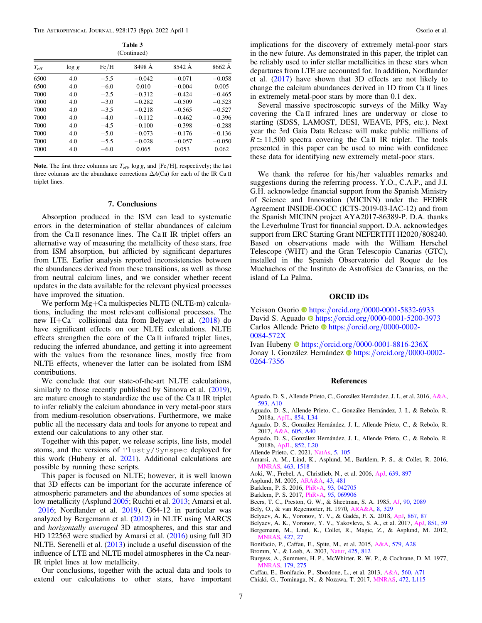| Table 3     |
|-------------|
| (Continued) |

<span id="page-6-0"></span>

|               |          |        | $\sqrt{2}$ |          |          |
|---------------|----------|--------|------------|----------|----------|
| $T_{\rm eff}$ | $\log g$ | Fe/H   | 8498 A     | 8542 A   | 8662 A   |
| 6500          | 4.0      | $-5.5$ | $-0.042$   | $-0.071$ | $-0.058$ |
| 6500          | 4.0      | $-6.0$ | 0.010      | $-0.004$ | 0.005    |
| 7000          | 4.0      | $-2.5$ | $-0.312$   | $-0.424$ | $-0.465$ |
| 7000          | 4.0      | $-3.0$ | $-0.282$   | $-0.509$ | $-0.523$ |
| 7000          | 4.0      | $-3.5$ | $-0.218$   | $-0.565$ | $-0.527$ |
| 7000          | 4.0      | $-4.0$ | $-0.112$   | $-0.462$ | $-0.396$ |
| 7000          | 4.0      | $-4.5$ | $-0.100$   | $-0.398$ | $-0.288$ |
| 7000          | 4.0      | $-5.0$ | $-0.073$   | $-0.176$ | $-0.136$ |
| 7000          | 4.0      | $-5.5$ | $-0.028$   | $-0.057$ | $-0.050$ |
| 7000          | 4.0      | $-6.0$ | 0.065      | 0.053    | 0.062    |

Note. The first three columns are  $T_{\text{eff}}$ , log *g*, and [Fe/H], respectively; the last three columns are the abundance corrections  $\Delta A(Ca)$  for each of the IR Ca II triplet lines.

### 7. Conclusions

Absorption produced in the ISM can lead to systematic errors in the determination of stellar abundances of calcium from the Ca II resonance lines. The Ca II IR triplet offers an alternative way of measuring the metallicity of these stars, free from ISM absorption, but afflicted by significant departures from LTE. Earlier analysis reported inconsistencies between the abundances derived from these transitions, as well as those from neutral calcium lines, and we consider whether recent updates in the data available for the relevant physical processes have improved the situation.

We perform Mg+Ca multispecies NLTE (NLTE-m) calculations, including the most relevant collisional processes. The new  $H + Ca<sup>+</sup>$  collisional data from Belyaev et al. (2018) do have significant effects on our NLTE calculations. NLTE effects strengthen the core of the Ca II infrared triplet lines, reducing the inferred abundance, and getting it into agreement with the values from the resonance lines, mostly free from NLTE effects, whenever the latter can be isolated from ISM contributions.

We conclude that our state-of-the-art NLTE calculations, similarly to those recently published by Sitnova et al. ([2019](#page-7-0)), are mature enough to standardize the use of the Ca II IR triplet to infer reliably the calcium abundance in very metal-poor stars from medium-resolution observations. Furthermore, we make public all the necessary data and tools for anyone to repeat and extend our calculations to any other star.

Together with this paper, we release scripts, line lists, model atoms, and the versions of Tlusty/Synspec deployed for this work (Hubeny et al. [2021](#page-7-0)). Additional calculations are possible by running these scripts.

This paper is focused on NLTE; however, it is well known that 3D effects can be important for the accurate inference of atmospheric parameters and the abundances of some species at low metallicity (Asplund 2005; Ruchti et al. [2013;](#page-7-0) Amarsi et al.

2016; Nordlander et al. [2019](#page-7-0)). G64-12 in particular was analyzed by Bergemann et al. (2012) in NLTE using MARCS and horizontally averaged 3D atmospheres, and this star and HD 122563 were studied by Amarsi et al. (2016) using full 3D NLTE. Serenelli et al. ([2013](#page-7-0)) include a useful discussion of the influence of LTE and NLTE model atmospheres in the Ca near-IR triplet lines at low metallicity.

Our conclusions, together with the actual data and tools to extend our calculations to other stars, have important

implications for the discovery of extremely metal-poor stars in the new future. As demonstrated in this paper, the triplet can be reliably used to infer stellar metallicities in these stars when departures from LTE are accounted for. In addition, Nordlander et al. ([2017](#page-7-0)) have shown that 3D effects are not likely to change the calcium abundances derived in 1D from Ca II lines in extremely metal-poor stars by more than 0.1 dex.

Several massive spectroscopic surveys of the Milky Way covering the Ca II infrared lines are underway or close to starting (SDSS, LAMOST, DESI, WEAVE, PFS, etc.). Next year the 3rd Gaia Data Release will make public millions of  $R \approx 11,500$  spectra covering the Ca II IR triplet. The tools presented in this paper can be used to mine with confidence these data for identifying new extremely metal-poor stars.

We thank the referee for his/her valuables remarks and suggestions during the referring process. Y.O., C.A.P., and J.I. G.H. acknowledge financial support from the Spanish Ministry of Science and Innovation (MICINN) under the FEDER Agreement INSIDE-OOCC (ICTS-2019-03-IAC-12) and from the Spanish MICINN project AYA2017-86389-P. D.A. thanks the Leverhulme Trust for financial support. D.A. acknowledges support from ERC Starting Grant NEFERTITI H2020/808240. Based on observations made with the William Herschel Telescope (WHT) and the Gran Telescopio Canarias (GTC), installed in the Spanish Observatorio del Roque de los Muchachos of the Instituto de Astrofísica de Canarias, on the island of La Palma.

### ORCID iDs

Yeisson Osorio **the [https:](https://orcid.org/0000-0001-5832-6933)**//orcid.org/[0000-0001-5832-6933](https://orcid.org/0000-0001-5832-6933) David S. Aguad[o](https://orcid.org/0000-0001-5200-3973) C[https:](https://orcid.org/0000-0001-5200-3973)//orcid.org/[0000-0001-5200-3973](https://orcid.org/0000-0001-5200-3973) Carlos Allende Prieto iD[https:](https://orcid.org/0000-0002-0084-572X)//orcid.org/[0000-0002-](https://orcid.org/0000-0002-0084-572X) [0084-572X](https://orcid.org/0000-0002-0084-572X)

Ivan Huben[y](https://orcid.org/0000-0001-8816-236X)  $\bullet$  [https:](https://orcid.org/0000-0001-8816-236X)//orcid.org/[0000-0001-8816-236X](https://orcid.org/0000-0001-8816-236X) Jonay I. González Hernández ilmetris: //orcid.org/[0000-0002-](https://orcid.org/0000-0002-0264-7356) [0264-7356](https://orcid.org/0000-0002-0264-7356)

#### References

- Aguado, D. S., Allende Prieto, C., González Hernández, J. I., et al. 2016, [A&A](https://doi.org/10.1051/0004-6361/201628371)[,](https://ui.adsabs.harvard.edu/abs/2016A&A...593A..10A/abstract) [593, A10](https://ui.adsabs.harvard.edu/abs/2016A&A...593A..10A/abstract)
- Aguado, D. S., Allende Prieto, C., González Hernández, J. I., & Rebolo, R. 2018a, [ApJL,](https://doi.org/10.3847/2041-8213/aaadb8) [854, L34](https://ui.adsabs.harvard.edu/abs/2018ApJ...854L..34A/abstract)
- Aguado, D. S., González Hernández, J. I., Allende Prieto, C., & Rebolo, R. 2017, [A&A](https://doi.org/10.1051/0004-6361/201730654), [605, A40](https://ui.adsabs.harvard.edu/abs/2017A&A...605A..40A/abstract)
- Aguado, D. S., González Hernández, J. I., Allende Prieto, C., & Rebolo, R. 2018b, [ApJL](https://doi.org/10.3847/2041-8213/aaa23a), [852, L20](https://ui.adsabs.harvard.edu/abs/2018ApJ...852L..20A/abstract)
- Allende Prieto, C. 2021, [NatAs,](https://doi.org/10.1038/s41550-020-01280-1) [5, 105](https://ui.adsabs.harvard.edu/abs/2021NatAs...5..105A/abstract)
- Amarsi, A. M., Lind, K., Asplund, M., Barklem, P. S., & Collet, R. 2016, [MNRAS](https://doi.org/10.1093/mnras/stw2077), [463, 1518](https://ui.adsabs.harvard.edu/abs/2016MNRAS.463.1518A/abstract)
- Aoki, W., Frebel, A., Christlieb, N., et al. 2006, [ApJ,](https://doi.org/10.1086/497906) [639, 897](https://ui.adsabs.harvard.edu/abs/2006ApJ...639..897A/abstract)
- Asplund, M. 2005, [ARA&A](https://doi.org/10.1146/annurev.astro.42.053102.134001), [43, 481](https://ui.adsabs.harvard.edu/abs/2005ARA&A..43..481A/abstract)
- Barklem, P. S. 2016, [PhRvA,](https://doi.org/10.1103/PhysRevA.93.042705) [93, 042705](https://ui.adsabs.harvard.edu/abs/2016PhRvA..93d2705B/abstract)
- Barklem, P. S. 2017, [PhRvA,](https://doi.org/10.1103/PhysRevA.95.069906) [95, 069906](https://ui.adsabs.harvard.edu/abs/2017PhRvA..95f9906B/abstract)
- Beers, T. C., Preston, G. W., & Shectman, S. A. 1985, [AJ](https://doi.org/10.1086/113917), [90, 2089](https://ui.adsabs.harvard.edu/abs/1985AJ.....90.2089B/abstract)
- Bely, O., & van Regemorter, H. 1970, [ARA&A](https://doi.org/10.1146/annurev.aa.08.090170.001553), [8, 329](https://ui.adsabs.harvard.edu/abs/1970ARA&A...8..329B/abstract)
- Belyaev, A. K., Voronov, Y. V., & Gadéa, F. X. 2018, [ApJ](https://doi.org/10.3847/1538-4357/aae490), [867, 87](https://ui.adsabs.harvard.edu/abs/2018ApJ...867...87B/abstract)
- Belyaev, A. K., Voronov, Y. V., Yakovleva, S. A., et al. 2017, [ApJ](https://doi.org/10.3847/1538-4357/aa98da), [851, 59](https://ui.adsabs.harvard.edu/abs/2017ApJ...851...59B/abstract) Bergemann, M., Lind, K., Collet, R., Magic, Z., & Asplund, M. 2012, [MNRAS](https://doi.org/10.1111/j.1365-2966.2012.21687.x), [427, 27](https://ui.adsabs.harvard.edu/abs/2012MNRAS.427...27B/abstract)
- Bonifacio, P., Caffau, E., Spite, M., et al. 2015, [A&A,](https://doi.org/10.1051/0004-6361/201425266) [579, A28](https://ui.adsabs.harvard.edu/abs/2015A&A...579A..28B/abstract)
- Bromm, V., & Loeb, A. 2003, [Natur,](https://doi.org/10.1038/nature02071) [425, 812](https://ui.adsabs.harvard.edu/abs/2003Natur.425..812B/abstract)
- Burgess, A., Summers, H. P., McWhirter, R. W. P., & Cochrane, D. M. 1977, [MNRAS](https://doi.org/10.1093/mnras/179.2.275), [179, 275](https://ui.adsabs.harvard.edu/abs/1977MNRAS.179..275B/abstract)
- Caffau, E., Bonifacio, P., Sbordone, L., et al. 2013, [A&A,](https://doi.org/10.1051/0004-6361/201322488) [560, A71](https://ui.adsabs.harvard.edu/abs/2013A&A...560A..71C/abstract)

Chiaki, G., Tominaga, N., & Nozawa, T. 2017, [MNRAS,](https://doi.org/10.1093/mnrasl/slx163) [472, L115](https://ui.adsabs.harvard.edu/abs/2017MNRAS.472L.115C/abstract)